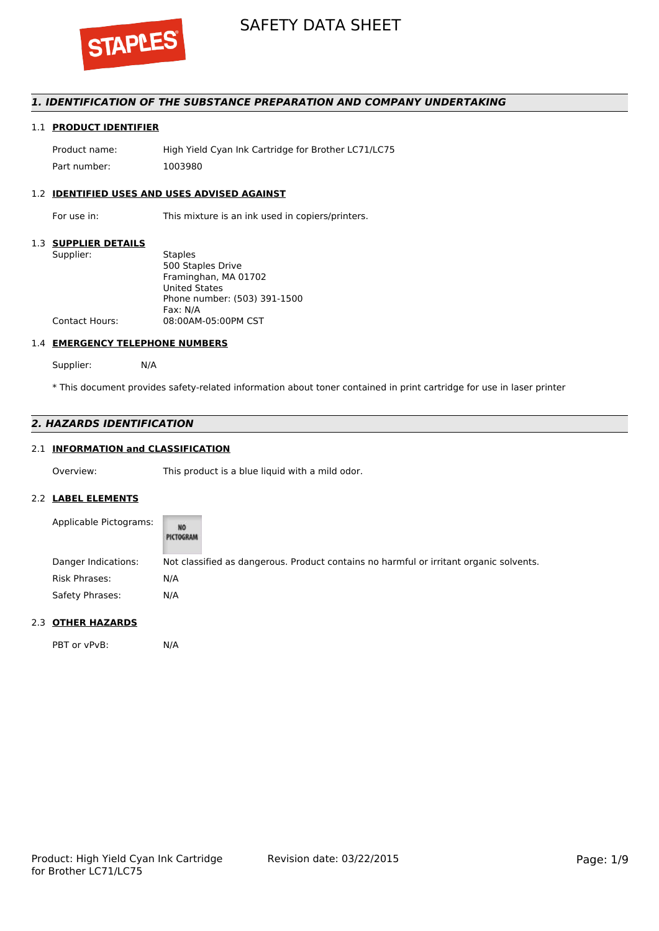

## *1. IDENTIFICATION OF THE SUBSTANCE PREPARATION AND COMPANY UNDERTAKING*

## 1.1 **PRODUCT IDENTIFIER**

Product name: High Yield Cyan Ink Cartridge for Brother LC71/LC75 Part number: 1003980

## 1.2 **IDENTIFIED USES AND USES ADVISED AGAINST**

For use in: This mixture is an ink used in copiers/printers.

## 1.3 **SUPPLIER DETAILS**

| Supplier:             | <b>Staples</b>               |
|-----------------------|------------------------------|
|                       | 500 Staples Drive            |
|                       | Framinghan, MA 01702         |
|                       | <b>United States</b>         |
|                       | Phone number: (503) 391-1500 |
|                       | Fax: N/A                     |
| <b>Contact Hours:</b> | 08:00AM-05:00PM CST          |
|                       |                              |

#### 1.4 **EMERGENCY TELEPHONE NUMBERS**

Supplier: N/A

\* This document provides safety-related information about toner contained in print cartridge for use in laser printer

## *2. HAZARDS IDENTIFICATION*

## 2.1 **INFORMATION and CLASSIFICATION**

Overview: This product is a blue liquid with a mild odor.

#### 2.2 **LABEL ELEMENTS**

| Applicable Pictograms: | <b>NO</b><br>PICTOGRAM                                                                 |
|------------------------|----------------------------------------------------------------------------------------|
| Danger Indications:    | Not classified as dangerous. Product contains no harmful or irritant organic solvents. |
| Risk Phrases:          | N/A                                                                                    |
| Safety Phrases:        | N/A                                                                                    |

#### 2.3 **OTHER HAZARDS**

PBT or vPvB: N/A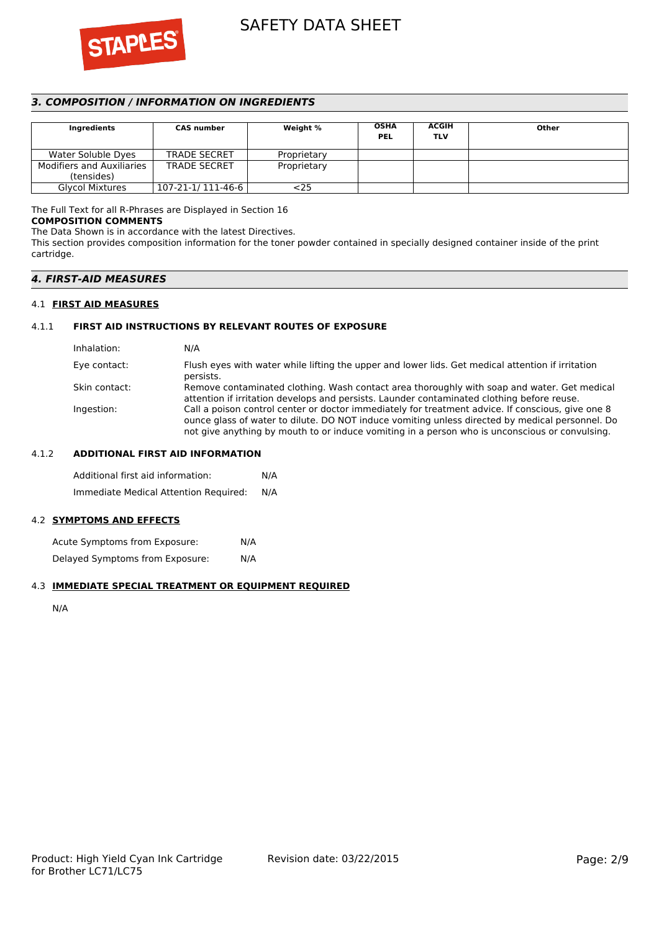

## *3. COMPOSITION / INFORMATION ON INGREDIENTS*

| Ingredients                      | <b>CAS number</b>   | Weight %    | <b>OSHA</b><br><b>PEL</b> | <b>ACGIH</b><br><b>TLV</b> | Other |
|----------------------------------|---------------------|-------------|---------------------------|----------------------------|-------|
| Water Soluble Dyes               | <b>TRADE SECRET</b> | Proprietary |                           |                            |       |
| <b>Modifiers and Auxiliaries</b> | <b>TRADE SECRET</b> | Proprietary |                           |                            |       |
| (tensides)                       |                     |             |                           |                            |       |
| <b>Glycol Mixtures</b>           | 107-21-1/ 111-46-6  | <25         |                           |                            |       |

The Full Text for all R-Phrases are Displayed in Section 16

## **COMPOSITION COMMENTS**

The Data Shown is in accordance with the latest Directives.

This section provides composition information for the toner powder contained in specially designed container inside of the print cartridge.

## *4. FIRST-AID MEASURES*

### 4.1 **FIRST AID MEASURES**

### 4.1.1 **FIRST AID INSTRUCTIONS BY RELEVANT ROUTES OF EXPOSURE**

| N/A                                                                                                                                                                                                                                                                                                    |
|--------------------------------------------------------------------------------------------------------------------------------------------------------------------------------------------------------------------------------------------------------------------------------------------------------|
| Flush eyes with water while lifting the upper and lower lids. Get medical attention if irritation<br>persists.                                                                                                                                                                                         |
| Remove contaminated clothing. Wash contact area thoroughly with soap and water. Get medical<br>attention if irritation develops and persists. Launder contaminated clothing before reuse.                                                                                                              |
| Call a poison control center or doctor immediately for treatment advice. If conscious, give one 8<br>ounce glass of water to dilute. DO NOT induce vomiting unless directed by medical personnel. Do<br>not give anything by mouth to or induce vomiting in a person who is unconscious or convulsing. |
|                                                                                                                                                                                                                                                                                                        |

### 4.1.2 **ADDITIONAL FIRST AID INFORMATION**

Additional first aid information: N/A Immediate Medical Attention Required: N/A

## 4.2 **SYMPTOMS AND EFFECTS**

Acute Symptoms from Exposure: N/A Delayed Symptoms from Exposure: N/A

#### 4.3 **IMMEDIATE SPECIAL TREATMENT OR EQUIPMENT REQUIRED**

N/A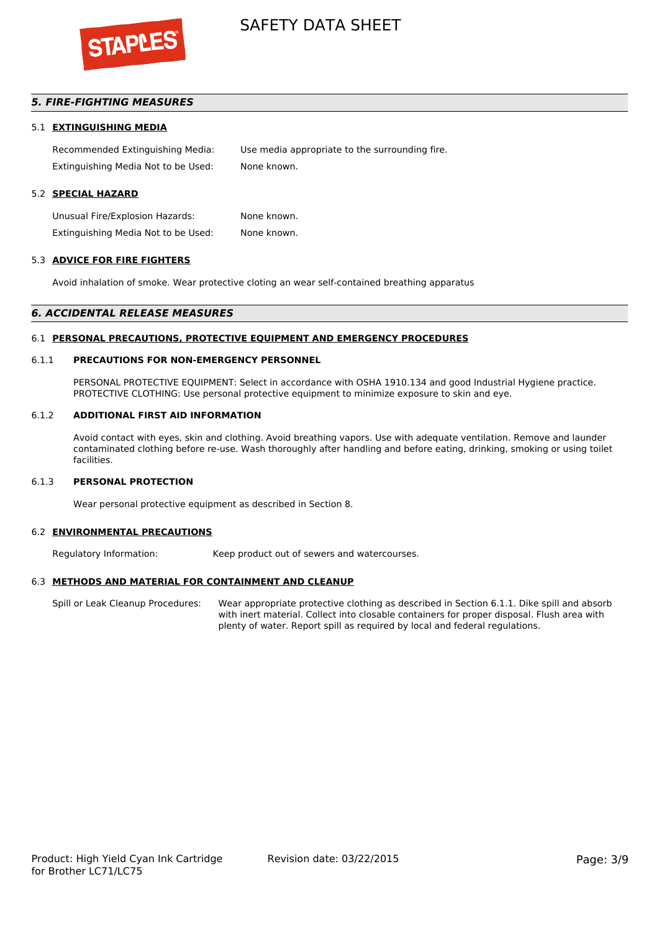

## *5. FIRE-FIGHTING MEASURES*

#### 5.1 **EXTINGUISHING MEDIA**

Recommended Extinguishing Media: Use media appropriate to the surrounding fire. Extinguishing Media Not to be Used: None known.

## 5.2 **SPECIAL HAZARD**

Unusual Fire/Explosion Hazards: None known. Extinguishing Media Not to be Used: None known.

#### 5.3 **ADVICE FOR FIRE FIGHTERS**

Avoid inhalation of smoke. Wear protective cloting an wear self-contained breathing apparatus

#### *6. ACCIDENTAL RELEASE MEASURES*

#### 6.1 **PERSONAL PRECAUTIONS, PROTECTIVE EQUIPMENT AND EMERGENCY PROCEDURES**

#### 6.1.1 **PRECAUTIONS FOR NON-EMERGENCY PERSONNEL**

PERSONAL PROTECTIVE EQUIPMENT: Select in accordance with OSHA 1910.134 and good Industrial Hygiene practice. PROTECTIVE CLOTHING: Use personal protective equipment to minimize exposure to skin and eye.

#### 6.1.2 **ADDITIONAL FIRST AID INFORMATION**

Avoid contact with eyes, skin and clothing. Avoid breathing vapors. Use with adequate ventilation. Remove and launder contaminated clothing before re-use. Wash thoroughly after handling and before eating, drinking, smoking or using toilet facilities.

#### 6.1.3 **PERSONAL PROTECTION**

Wear personal protective equipment as described in Section 8.

#### 6.2 **ENVIRONMENTAL PRECAUTIONS**

Regulatory Information: Keep product out of sewers and watercourses.

#### 6.3 **METHODS AND MATERIAL FOR CONTAINMENT AND CLEANUP**

Spill or Leak Cleanup Procedures: Wear appropriate protective clothing as described in Section 6.1.1. Dike spill and absorb with inert material. Collect into closable containers for proper disposal. Flush area with plenty of water. Report spill as required by local and federal regulations.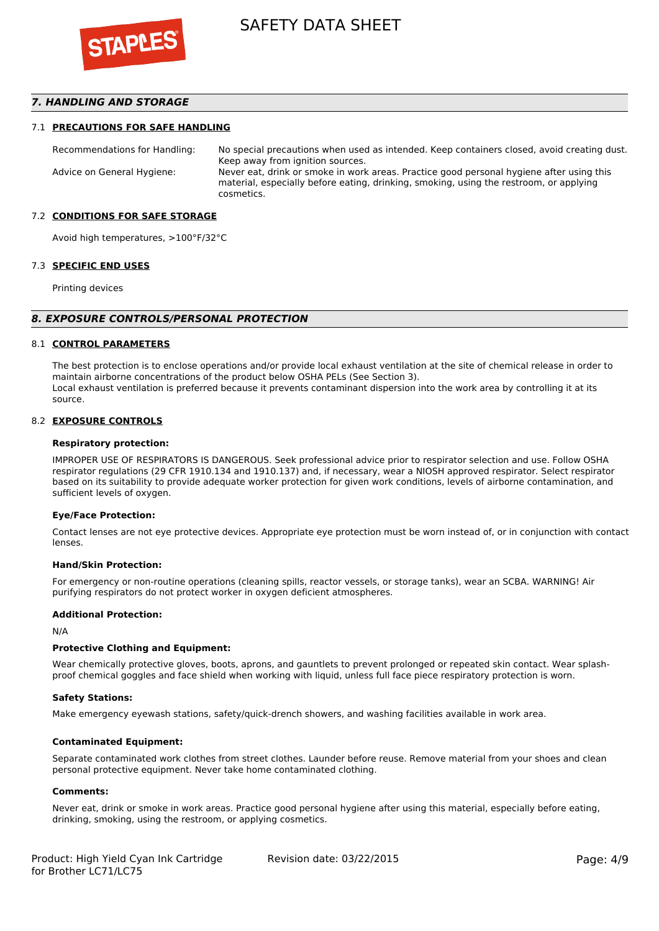

## *7. HANDLING AND STORAGE*

#### 7.1 **PRECAUTIONS FOR SAFE HANDLING**

Recommendations for Handling: No special precautions when used as intended. Keep containers closed, avoid creating dust. Keep away from ignition sources. Advice on General Hygiene: Never eat, drink or smoke in work areas. Practice good personal hygiene after using this material, especially before eating, drinking, smoking, using the restroom, or applying cosmetics.

#### 7.2 **CONDITIONS FOR SAFE STORAGE**

Avoid high temperatures, >100°F/32°C

#### 7.3 **SPECIFIC END USES**

Printing devices

#### *8. EXPOSURE CONTROLS/PERSONAL PROTECTION*

#### 8.1 **CONTROL PARAMETERS**

The best protection is to enclose operations and/or provide local exhaust ventilation at the site of chemical release in order to maintain airborne concentrations of the product below OSHA PELs (See Section 3). Local exhaust ventilation is preferred because it prevents contaminant dispersion into the work area by controlling it at its source.

#### 8.2 **EXPOSURE CONTROLS**

#### **Respiratory protection:**

IMPROPER USE OF RESPIRATORS IS DANGEROUS. Seek professional advice prior to respirator selection and use. Follow OSHA respirator regulations (29 CFR 1910.134 and 1910.137) and, if necessary, wear a NIOSH approved respirator. Select respirator based on its suitability to provide adequate worker protection for given work conditions, levels of airborne contamination, and sufficient levels of oxygen.

#### **Eye/Face Protection:**

Contact lenses are not eye protective devices. Appropriate eye protection must be worn instead of, or in conjunction with contact lenses.

#### **Hand/Skin Protection:**

For emergency or non-routine operations (cleaning spills, reactor vessels, or storage tanks), wear an SCBA. WARNING! Air purifying respirators do not protect worker in oxygen deficient atmospheres.

### **Additional Protection:**

N/A

#### **Protective Clothing and Equipment:**

Wear chemically protective gloves, boots, aprons, and gauntlets to prevent prolonged or repeated skin contact. Wear splashproof chemical goggles and face shield when working with liquid, unless full face piece respiratory protection is worn.

#### **Safety Stations:**

Make emergency eyewash stations, safety/quick-drench showers, and washing facilities available in work area.

#### **Contaminated Equipment:**

Separate contaminated work clothes from street clothes. Launder before reuse. Remove material from your shoes and clean personal protective equipment. Never take home contaminated clothing.

#### **Comments:**

Never eat, drink or smoke in work areas. Practice good personal hygiene after using this material, especially before eating, drinking, smoking, using the restroom, or applying cosmetics.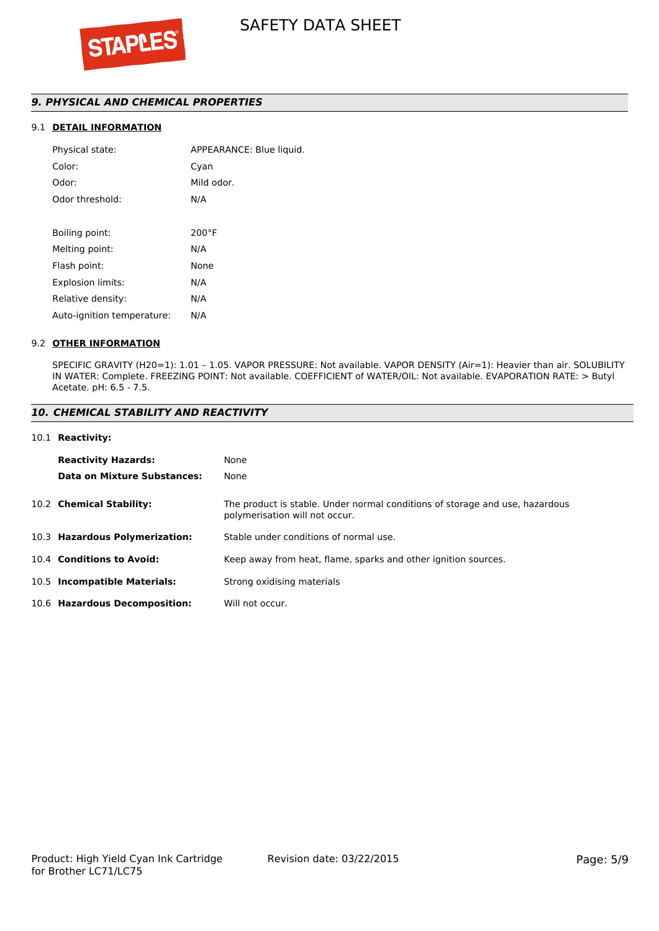## *9. PHYSICAL AND CHEMICAL PROPERTIES*

## 9.1 **DETAIL INFORMATION**

| APPEARANCE: Blue liquid. |
|--------------------------|
| Cyan                     |
| Mild odor.               |
| N/A                      |
|                          |
| $200^{\circ}$ F          |
| N/A                      |
| None                     |
| N/A                      |
| N/A                      |
| N/A                      |
|                          |

#### 9.2 **OTHER INFORMATION**

SPECIFIC GRAVITY (H20=1): 1.01 – 1.05. VAPOR PRESSURE: Not available. VAPOR DENSITY (Air=1): Heavier than air. SOLUBILITY IN WATER: Complete. FREEZING POINT: Not available. COEFFICIENT of WATER/OIL: Not available. EVAPORATION RATE: > Butyl Acetate. pH: 6.5 - 7.5.

#### *10. CHEMICAL STABILITY AND REACTIVITY*

#### 10.1 **Reactivity:**

| <b>Reactivity Hazards:</b>     | None                                                                                                           |
|--------------------------------|----------------------------------------------------------------------------------------------------------------|
| Data on Mixture Substances:    | None                                                                                                           |
| 10.2 Chemical Stability:       | The product is stable. Under normal conditions of storage and use, hazardous<br>polymerisation will not occur. |
| 10.3 Hazardous Polymerization: | Stable under conditions of normal use.                                                                         |
| 10.4 Conditions to Avoid:      | Keep away from heat, flame, sparks and other ignition sources.                                                 |
| 10.5 Incompatible Materials:   | Strong oxidising materials                                                                                     |
| 10.6 Hazardous Decomposition:  | Will not occur.                                                                                                |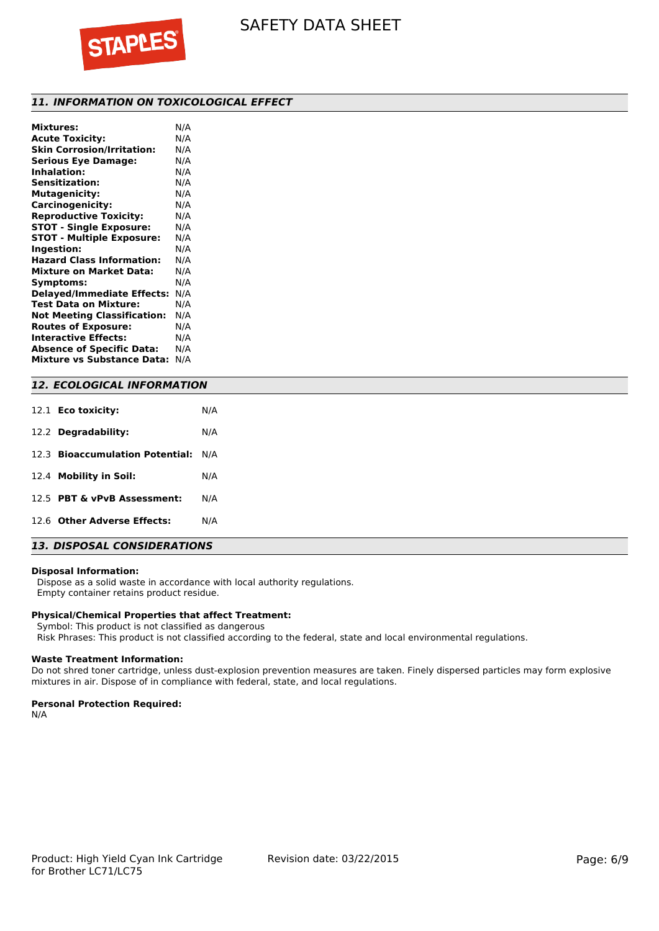

## *11. INFORMATION ON TOXICOLOGICAL EFFECT*

| <b>Mixtures:</b>                   | N/A |
|------------------------------------|-----|
| <b>Acute Toxicity:</b>             | N/A |
| <b>Skin Corrosion/Irritation:</b>  | N/A |
| <b>Serious Eye Damage:</b>         | N/A |
| <b>Inhalation:</b>                 | N/A |
| <b>Sensitization:</b>              | N/A |
| <b>Mutagenicity:</b>               | N/A |
| Carcinogenicity:                   | N/A |
| <b>Reproductive Toxicity:</b>      | N/A |
| <b>STOT - Single Exposure:</b>     | N/A |
| <b>STOT - Multiple Exposure:</b>   | N/A |
| Ingestion:                         | N/A |
| <b>Hazard Class Information:</b>   | N/A |
| <b>Mixture on Market Data:</b>     | N/A |
| Symptoms:                          | N/A |
| <b>Delayed/Immediate Effects:</b>  | N/A |
| <b>Test Data on Mixture:</b>       | N/A |
| <b>Not Meeting Classification:</b> | N/A |
| <b>Routes of Exposure:</b>         | N/A |
| <b>Interactive Effects:</b>        | N/A |
| <b>Absence of Specific Data:</b>   | N/A |
| <b>Mixture vs Substance Data:</b>  | N/A |
|                                    |     |

## *12. ECOLOGICAL INFORMATION*

| 12.1 <b>Eco toxicity:</b>           | N/A |
|-------------------------------------|-----|
| 12.2 Degradability:                 | N/A |
| 12.3 Bioaccumulation Potential: N/A |     |
| 12.4 Mobility in Soil:              | N/A |
| 12.5 PBT & vPvB Assessment:         | N/A |
| 12.6 Other Adverse Effects:         | N/A |

## *13. DISPOSAL CONSIDERATIONS*

#### **Disposal Information:**

 Dispose as a solid waste in accordance with local authority regulations. Empty container retains product residue.

#### **Physical/Chemical Properties that affect Treatment:**

Symbol: This product is not classified as dangerous

Risk Phrases: This product is not classified according to the federal, state and local environmental regulations.

#### **Waste Treatment Information:**

Do not shred toner cartridge, unless dust-explosion prevention measures are taken. Finely dispersed particles may form explosive mixtures in air. Dispose of in compliance with federal, state, and local regulations.

### **Personal Protection Required:**

N/A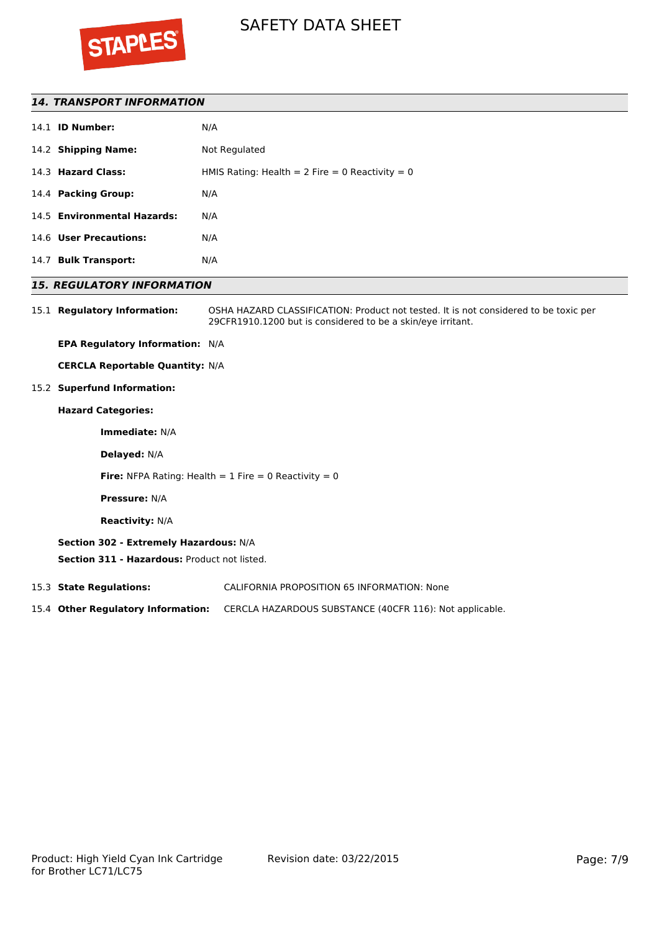

## *14. TRANSPORT INFORMATION*

|      | 14.1 <b>ID Number:</b>      | N/A                                             |
|------|-----------------------------|-------------------------------------------------|
|      | 14.2 Shipping Name:         | Not Regulated                                   |
|      | 14.3 Hazard Class:          | HMIS Rating: Health = 2 Fire = 0 Reactivity = 0 |
|      | 14.4 Packing Group:         | N/A                                             |
|      | 14.5 Environmental Hazards: | N/A                                             |
|      | 14.6 User Precautions:      | N/A                                             |
| 14.7 | <b>Bulk Transport:</b>      | N/A                                             |
|      |                             |                                                 |

## *15. REGULATORY INFORMATION*

15.1 **Regulatory Information:** OSHA HAZARD CLASSIFICATION: Product not tested. It is not considered to be toxic per 29CFR1910.1200 but is considered to be a skin/eye irritant.

**EPA Regulatory Information:** N/A

**CERCLA Reportable Quantity:** N/A

15.2 **Superfund Information:**

## **Hazard Categories:**

**Immediate:** N/A

**Delayed:** N/A

**Fire:** NFPA Rating: Health  $= 1$  Fire  $= 0$  Reactivity  $= 0$ 

**Pressure:** N/A

**Reactivity:** N/A

## **Section 302 - Extremely Hazardous:** N/A

**Section 311 - Hazardous:** Product not listed.

15.3 **State Regulations:** CALIFORNIA PROPOSITION 65 INFORMATION: None

15.4 **Other Regulatory Information:** CERCLA HAZARDOUS SUBSTANCE (40CFR 116): Not applicable.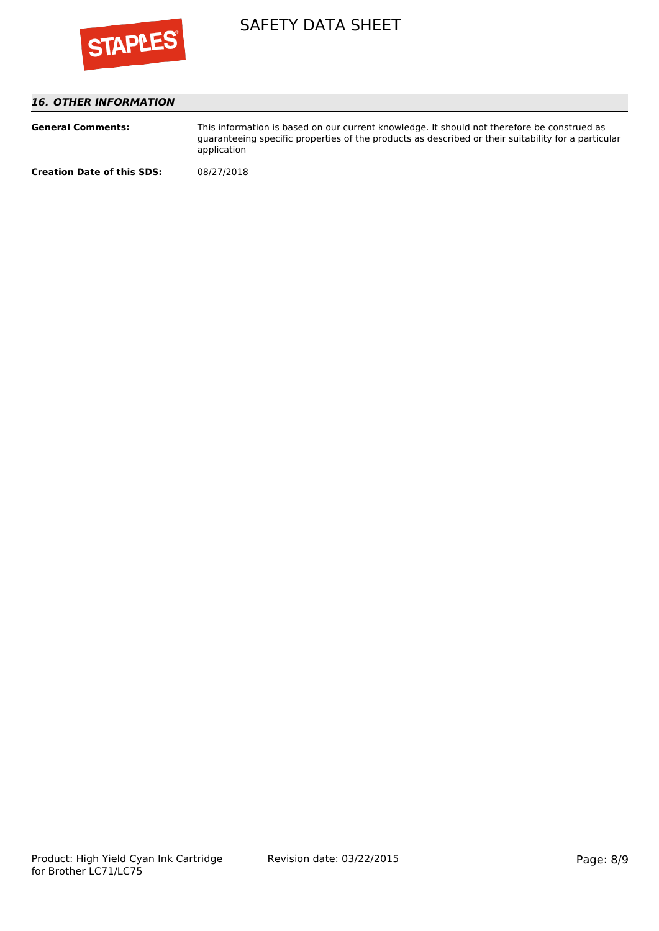

## *16. OTHER INFORMATION*

| <b>General Comments:</b>          | This information is based on our current knowledge. It should not therefore be construed as<br>quaranteeing specific properties of the products as described or their suitability for a particular<br>application |
|-----------------------------------|-------------------------------------------------------------------------------------------------------------------------------------------------------------------------------------------------------------------|
| <b>Creation Date of this SDS:</b> | 08/27/2018                                                                                                                                                                                                        |